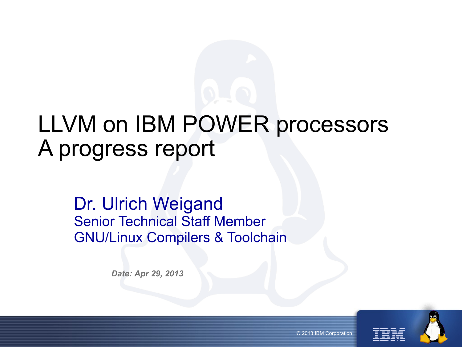# LLVM on IBM POWER processors A progress report

#### Dr. Ulrich Weigand Senior Technical Staff Member GNU/Linux Compilers & Toolchain

*Date: Apr 29, 2013*



© 2013 IBM Corporation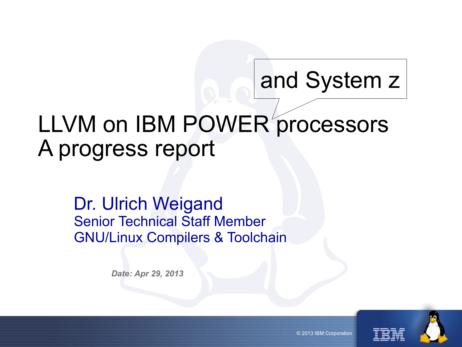# and System z

# LLVM on IBM POWER processors A progress report

#### Dr. Ulrich Weigand Senior Technical Staff Member GNU/Linux Compilers & Toolchain

*Date: Apr 29, 2013*



© 2013 IBM Corporation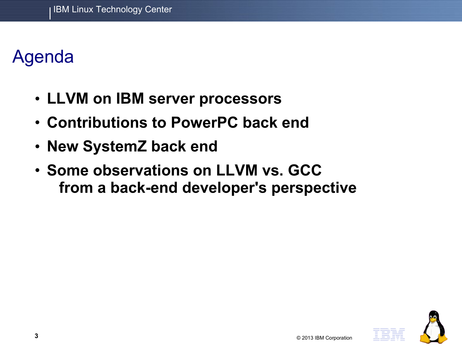# Agenda

- **LLVM on IBM server processors**
- **Contributions to PowerPC back end**
- **New SystemZ back end**
- **Some observations on LLVM vs. GCC from a back-end developer's perspective**

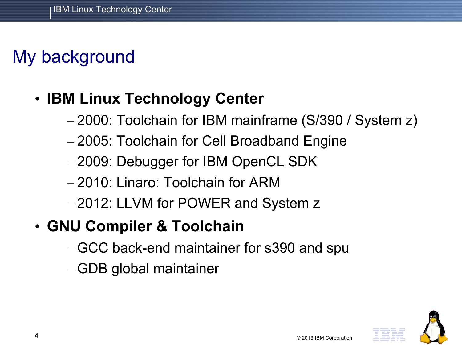# My background

### • **IBM Linux Technology Center**

- 2000: Toolchain for IBM mainframe (S/390 / System z)
- 2005: Toolchain for Cell Broadband Engine
- 2009: Debugger for IBM OpenCL SDK
- 2010: Linaro: Toolchain for ARM
- 2012: LLVM for POWER and System z
- **GNU Compiler & Toolchain**
	- GCC back-end maintainer for s390 and spu
	- GDB global maintainer

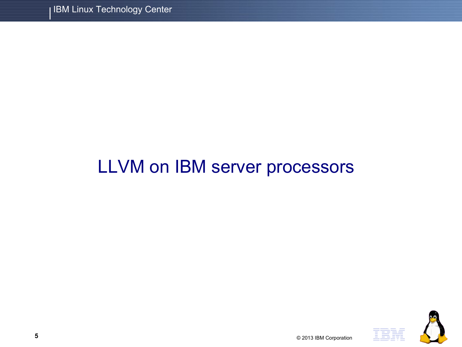# LLVM on IBM server processors

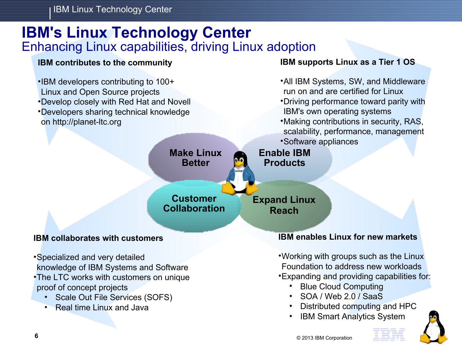IBM Linux Technology Center

#### **IBM's Linux Technology Center** Enhancing Linux capabilities, driving Linux adoption

**Make Linux Better**

**Customer Collaboration**

#### **IBM contributes to the community**

•IBM developers contributing to 100+ Linux and Open Source projects

on http://planet-ltc.org

•Develop closely with Red Hat and Novell •Developers sharing technical knowledge

#### **IBM supports Linux as a Tier 1 OS**

- •All IBM Systems, SW, and Middleware run on and are certified for Linux
	- •Driving performance toward parity with IBM's own operating systems
	- •Making contributions in security, RAS, scalability, performance, management
	- •Software appliances

**Enable IBM Products**

**Expand Linux Reach**

#### **IBM collaborates with customers**

•Specialized and very detailed knowledge of IBM Systems and Software •The LTC works with customers on unique proof of concept projects

- Scale Out File Services (SOFS)
- **Real time Linux and Java**

#### **IBM enables Linux for new markets**

•Working with groups such as the Linux Foundation to address new workloads •Expanding and providing capabilities for:

- Blue Cloud Computing
- SOA / Web 2.0 / SaaS
- Distributed computing and HPC
- **IBM Smart Analytics System**

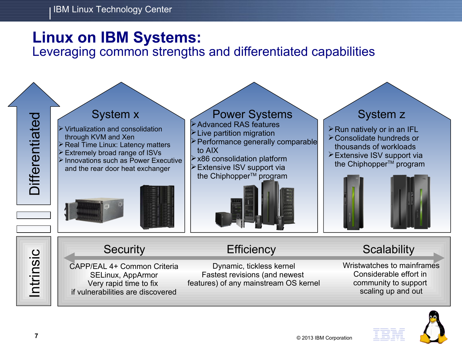#### **Linux on IBM Systems:**

Leveraging common strengths and differentiated capabilities



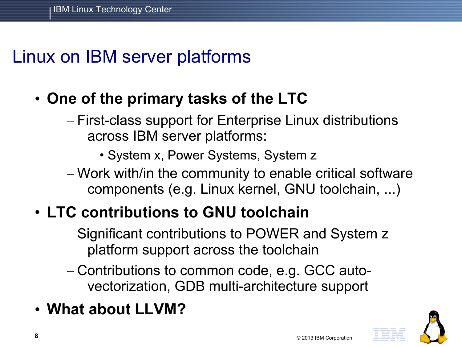# Linux on IBM server platforms

- **One of the primary tasks of the LTC**
	- First-class support for Enterprise Linux distributions across IBM server platforms:
		- System x, Power Systems, System z
	- Work with/in the community to enable critical software components (e.g. Linux kernel, GNU toolchain, ...)
- **LTC contributions to GNU toolchain**
	- Significant contributions to POWER and System z platform support across the toolchain
	- Contributions to common code, e.g. GCC autovectorization, GDB multi-architecture support
- **What about LLVM?**

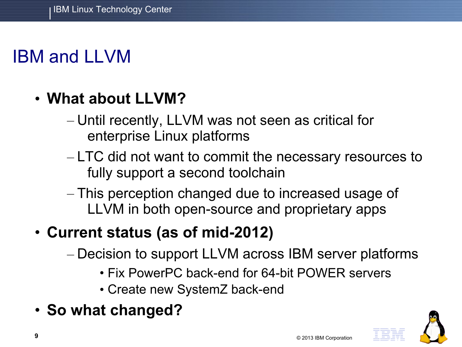# IBM and LLVM

### • **What about LLVM?**

- Until recently, LLVM was not seen as critical for enterprise Linux platforms
- LTC did not want to commit the necessary resources to fully support a second toolchain
- This perception changed due to increased usage of LLVM in both open-source and proprietary apps

### • **Current status (as of mid-2012)**

- Decision to support LLVM across IBM server platforms
	- Fix PowerPC back-end for 64-bit POWER servers
	- Create new SystemZ back-end
- **So what changed?**

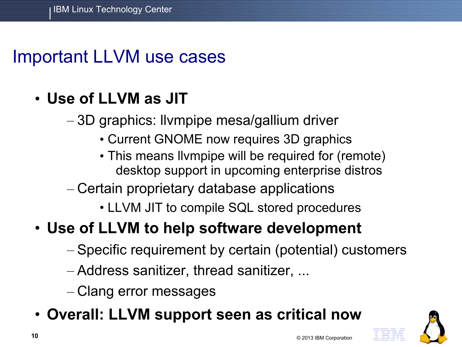## Important LLVM use cases

### • **Use of LLVM as JIT**

– 3D graphics: llvmpipe mesa/gallium driver

- Current GNOME now requires 3D graphics
- This means llvmpipe will be required for (remote) desktop support in upcoming enterprise distros
- Certain proprietary database applications
	- LLVM JIT to compile SQL stored procedures

### • **Use of LLVM to help software development**

- Specific requirement by certain (potential) customers
- Address sanitizer, thread sanitizer, ...
- Clang error messages
- **Overall: LLVM support seen as critical now**

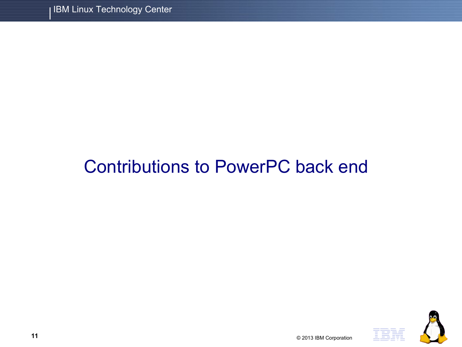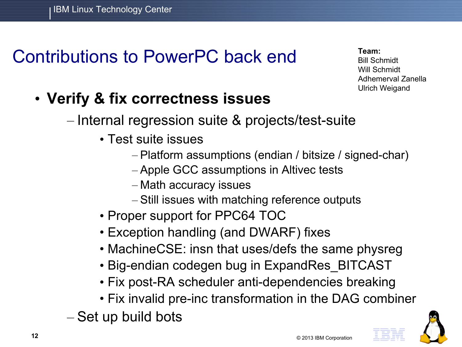**Team:** Bill Schmidt Will Schmidt Adhemerval Zanella Ulrich Weigand

- **Verify & fix correctness issues**
	- Internal regression suite & projects/test-suite
		- Test suite issues
			- Platform assumptions (endian / bitsize / signed-char)
			- Apple GCC assumptions in Altivec tests
			- Math accuracy issues
			- Still issues with matching reference outputs
		- Proper support for PPC64 TOC
		- Exception handling (and DWARF) fixes
		- MachineCSE: insn that uses/defs the same physreg
		- Big-endian codegen bug in ExpandRes\_BITCAST
		- Fix post-RA scheduler anti-dependencies breaking
		- Fix invalid pre-inc transformation in the DAG combiner
	- Set up build bots

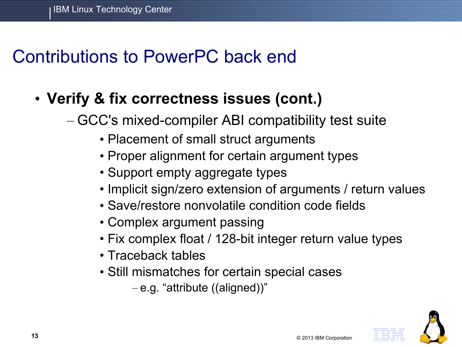### • **Verify & fix correctness issues (cont.)**

- GCC's mixed-compiler ABI compatibility test suite
	- Placement of small struct arguments
	- Proper alignment for certain argument types
	- Support empty aggregate types
	- Implicit sign/zero extension of arguments / return values
	- Save/restore nonvolatile condition code fields
	- Complex argument passing
	- Fix complex float / 128-bit integer return value types
	- Traceback tables
	- Still mismatches for certain special cases
		- e.g. "attribute ((aligned))"

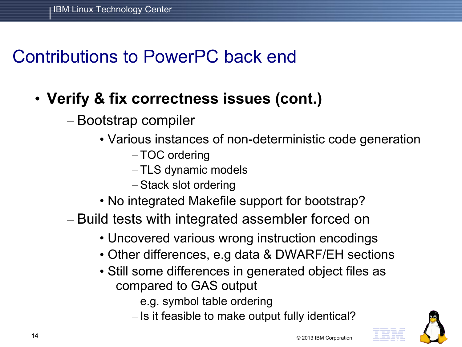### • **Verify & fix correctness issues (cont.)**

- Bootstrap compiler
	- Various instances of non-deterministic code generation
		- TOC ordering
		- TLS dynamic models
		- Stack slot ordering
	- No integrated Makefile support for bootstrap?
- Build tests with integrated assembler forced on
	- Uncovered various wrong instruction encodings
	- Other differences, e.g data & DWARF/EH sections
	- Still some differences in generated object files as compared to GAS output
		- e.g. symbol table ordering
		- Is it feasible to make output fully identical?

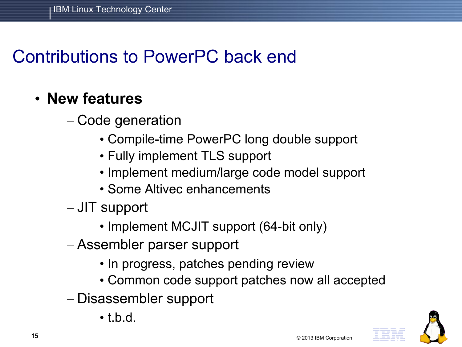#### • **New features**

- Code generation
	- Compile-time PowerPC long double support
	- Fully implement TLS support
	- Implement medium/large code model support
	- Some Altivec enhancements
- JIT support
	- Implement MCJIT support (64-bit only)
- Assembler parser support
	- In progress, patches pending review
	- Common code support patches now all accepted
- Disassembler support
	- $\bullet$  thd

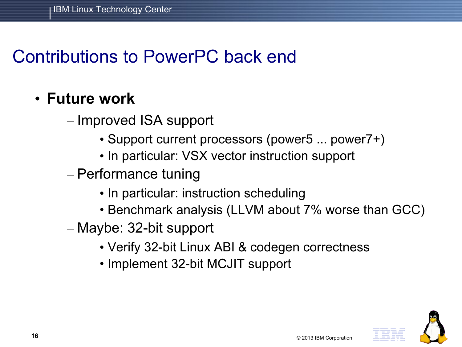#### • **Future work**

– Improved ISA support

- Support current processors (power5 ... power7+)
- In particular: VSX vector instruction support
- Performance tuning
	- In particular: instruction scheduling
	- Benchmark analysis (LLVM about 7% worse than GCC)
- Maybe: 32-bit support
	- Verify 32-bit Linux ABI & codegen correctness
	- Implement 32-bit MCJIT support

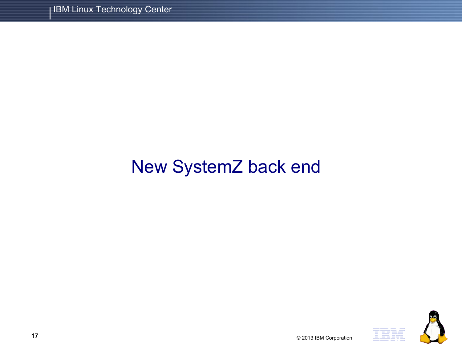# New SystemZ back end



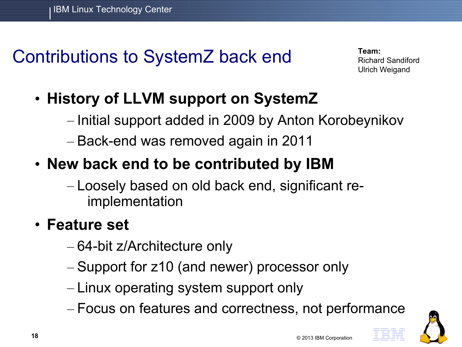# Contributions to SystemZ back end

**Team:** Richard Sandiford Ulrich Weigand

- **History of LLVM support on SystemZ**
	- Initial support added in 2009 by Anton Korobeynikov
	- Back-end was removed again in 2011

### • **New back end to be contributed by IBM**

– Loosely based on old back end, significant reimplementation

#### • **Feature set**

- 64-bit z/Architecture only
- Support for z10 (and newer) processor only
- Linux operating system support only
- Focus on features and correctness, not performance

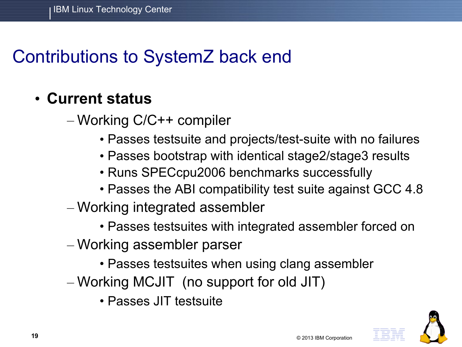# Contributions to SystemZ back end

#### • **Current status**

– Working C/C++ compiler

- Passes testsuite and projects/test-suite with no failures
- Passes bootstrap with identical stage2/stage3 results
- Runs SPECcpu2006 benchmarks successfully
- Passes the ABI compatibility test suite against GCC 4.8
- Working integrated assembler
	- Passes testsuites with integrated assembler forced on
- Working assembler parser
	- Passes testsuites when using clang assembler
- Working MCJIT (no support for old JIT)
	- Passes JIT testsuite

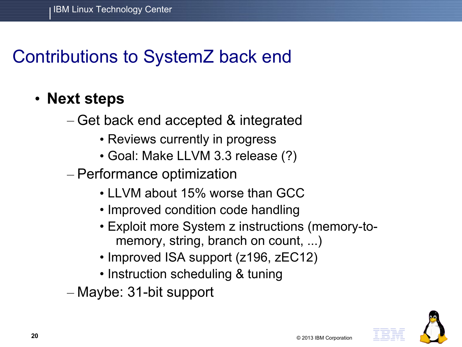# Contributions to SystemZ back end

- **Next steps**
	- Get back end accepted & integrated
		- Reviews currently in progress
		- Goal: Make LLVM 3.3 release (?)
	- Performance optimization
		- LLVM about 15% worse than GCC
		- Improved condition code handling
		- Exploit more System z instructions (memory-tomemory, string, branch on count, ...)
		- Improved ISA support (z196, zEC12)
		- Instruction scheduling & tuning
	- Maybe: 31-bit support

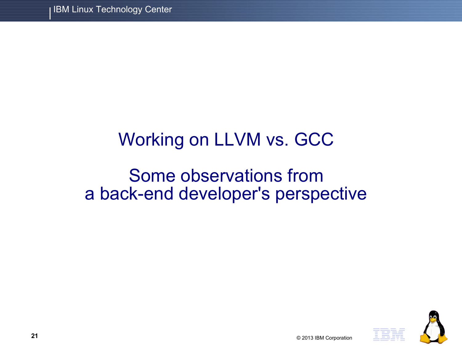# Working on LLVM vs. GCC

## Some observations from a back-end developer's perspective



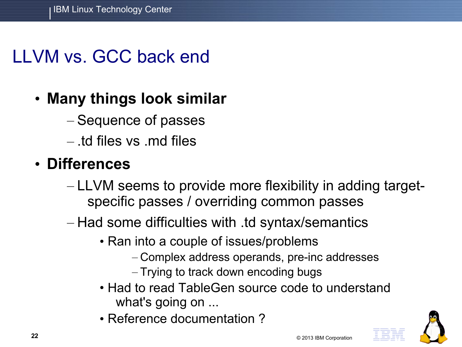# LLVM vs. GCC back end

### • **Many things look similar**

- Sequence of passes
- $-$  td files vs  $\mathsf{md}$  files

#### • **Differences**

- LLVM seems to provide more flexibility in adding targetspecific passes / overriding common passes
- Had some difficulties with .td syntax/semantics
	- Ran into a couple of issues/problems
		- Complex address operands, pre-inc addresses
		- Trying to track down encoding bugs
	- Had to read TableGen source code to understand what's going on ...
	- Reference documentation ?

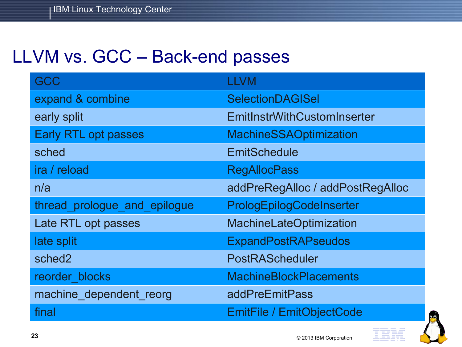# LLVM vs. GCC – Back-end passes

| <b>GCC</b>                   | <b>LLVM</b>                      |
|------------------------------|----------------------------------|
| expand & combine             | <b>SelectionDAGISel</b>          |
| early split                  | EmitInstrWithCustomInserter      |
| <b>Early RTL opt passes</b>  | <b>MachineSSAOptimization</b>    |
| sched                        | <b>EmitSchedule</b>              |
| ira / reload                 | <b>RegAllocPass</b>              |
| n/a                          | addPreRegAlloc / addPostRegAlloc |
| thread_prologue_and_epilogue | PrologEpilogCodeInserter         |
| Late RTL opt passes          | MachineLateOptimization          |
| late split                   | <b>ExpandPostRAPseudos</b>       |
| sched2                       | PostRAScheduler                  |
| reorder blocks               | <b>MachineBlockPlacements</b>    |
| machine_dependent_reorg      | addPreEmitPass                   |
| final                        | <b>EmitFile / EmitObjectCode</b> |

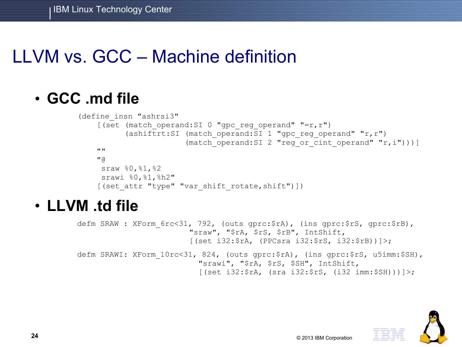# LLVM vs. GCC – Machine definition

#### • **GCC .md file**

```
(define_insn "ashrsi3"
[(set (match operand:SI 0 "gpc reg operand" "=r,r")
      (ashiftrt:SI (match operand:SI 1 "gpc reg operand" "r,r")
                    (match operand: SI 2 "reg or cint operand" "r,i")))]
** **
" sraw %0,%1,%2
 srawi %0, %1, %h2"
[(set attr "type" "var shift rotate, shift")])
```
#### • **LLVM .td file**

defm SRAW : XForm 6rc<31, 792, (outs gprc:\$rA), (ins gprc:\$rS, gprc:\$rB), "sraw", "\$rA, \$rS, \$rB", IntShift, [(set i32:\$rA, (PPCsra i32:\$rS, i32:\$rB))]>; defm SRAWI: XForm 10rc<31, 824, (outs gprc:\$rA), (ins gprc:\$rS, u5imm:\$SH), "srawi", "\$rA, \$rS, \$SH", IntShift,  $[(set i32:5rA, (sra i32:5rs, (i32 imm:5SH)))]$ ;

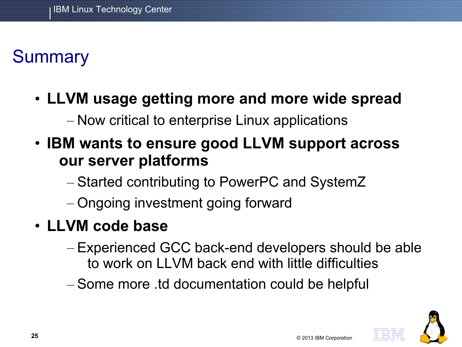# **Summary**

• **LLVM usage getting more and more wide spread**

– Now critical to enterprise Linux applications

- **IBM wants to ensure good LLVM support across our server platforms**
	- Started contributing to PowerPC and SystemZ
	- Ongoing investment going forward
- **LLVM code base**
	- Experienced GCC back-end developers should be able to work on LLVM back end with little difficulties
	- Some more .td documentation could be helpful